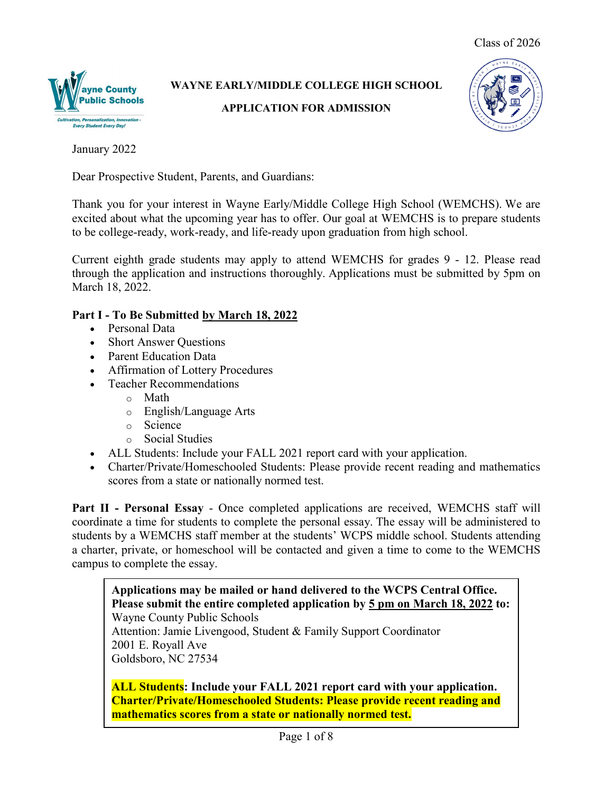

#### **APPLICATION FOR ADMISSION**



January 2022

Dear Prospective Student, Parents, and Guardians:

Thank you for your interest in Wayne Early/Middle College High School (WEMCHS). We are excited about what the upcoming year has to offer. Our goal at WEMCHS is to prepare students to be college-ready, work-ready, and life-ready upon graduation from high school.

Current eighth grade students may apply to attend WEMCHS for grades 9 - 12. Please read through the application and instructions thoroughly. Applications must be submitted by 5pm on March 18, 2022.

#### **Part I - To Be Submitted by March 18, 2022**

- Personal Data
- Short Answer Questions
- Parent Education Data
- Affirmation of Lottery Procedures
- Teacher Recommendations
	- o Math
	- o English/Language Arts
	- o Science
	- o Social Studies
- ALL Students: Include your FALL 2021 report card with your application.
- Charter/Private/Homeschooled Students: Please provide recent reading and mathematics scores from a state or nationally normed test.

**Part II - Personal Essay** - Once completed applications are received, WEMCHS staff will coordinate a time for students to complete the personal essay. The essay will be administered to students by a WEMCHS staff member at the students' WCPS middle school. Students attending a charter, private, or homeschool will be contacted and given a time to come to the WEMCHS campus to complete the essay.

**Applications may be mailed or hand delivered to the WCPS Central Office. Please submit the entire completed application by 5 pm on March 18, 2022 to:** Wayne County Public Schools Attention: Jamie Livengood, Student & Family Support Coordinator 2001 E. Royall Ave Goldsboro, NC 27534

**ALL Students: Include your FALL 2021 report card with your application. Charter/Private/Homeschooled Students: Please provide recent reading and mathematics scores from a state or nationally normed test.**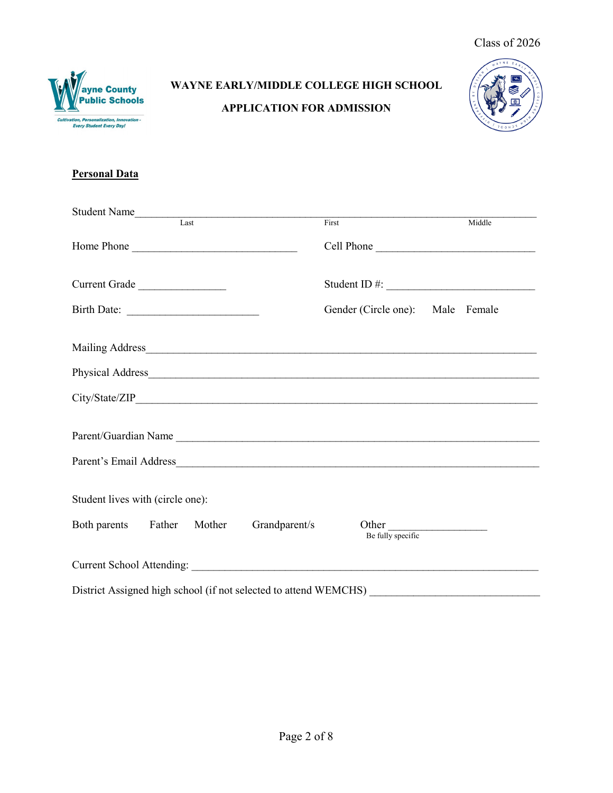

## **WAYNE EARLY/MIDDLE COLLEGE HIGH SCHOOL APPLICATION FOR ADMISSION**



#### **Personal Data**

| Student Name<br>Last                     |  |                                  |                                                                                                                                                                                                                                                                                                       |
|------------------------------------------|--|----------------------------------|-------------------------------------------------------------------------------------------------------------------------------------------------------------------------------------------------------------------------------------------------------------------------------------------------------|
|                                          |  | First                            | Middle                                                                                                                                                                                                                                                                                                |
| Home Phone                               |  |                                  | Cell Phone                                                                                                                                                                                                                                                                                            |
| Current Grade                            |  |                                  | Student ID #: $\frac{1}{2}$ = $\frac{1}{2}$ = $\frac{1}{2}$ = $\frac{1}{2}$ = $\frac{1}{2}$ = $\frac{1}{2}$ = $\frac{1}{2}$ = $\frac{1}{2}$ = $\frac{1}{2}$ = $\frac{1}{2}$ = $\frac{1}{2}$ = $\frac{1}{2}$ = $\frac{1}{2}$ = $\frac{1}{2}$ = $\frac{1}{2}$ = $\frac{1}{2}$ = $\frac{1}{2}$ = $\frac$ |
| Birth Date:                              |  | Gender (Circle one): Male Female |                                                                                                                                                                                                                                                                                                       |
|                                          |  |                                  |                                                                                                                                                                                                                                                                                                       |
|                                          |  |                                  |                                                                                                                                                                                                                                                                                                       |
|                                          |  |                                  |                                                                                                                                                                                                                                                                                                       |
| Parent/Guardian Name                     |  |                                  |                                                                                                                                                                                                                                                                                                       |
|                                          |  |                                  |                                                                                                                                                                                                                                                                                                       |
| Student lives with (circle one):         |  |                                  |                                                                                                                                                                                                                                                                                                       |
| Both parents Father Mother Grandparent/s |  | Other<br>Be fully specific       |                                                                                                                                                                                                                                                                                                       |
|                                          |  |                                  |                                                                                                                                                                                                                                                                                                       |
|                                          |  |                                  |                                                                                                                                                                                                                                                                                                       |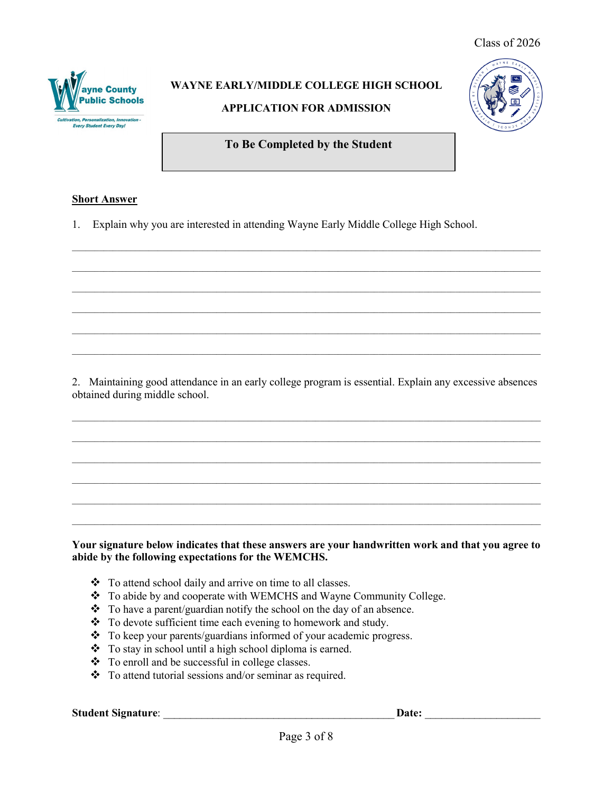

### **WAYNE EARLY/MIDDLE COLLEGE HIGH SCHOOL APPLICATION FOR ADMISSION**



**To Be Completed by the Student**

 $\_$  ,  $\_$  ,  $\_$  ,  $\_$  ,  $\_$  ,  $\_$  ,  $\_$  ,  $\_$  ,  $\_$  ,  $\_$  ,  $\_$  ,  $\_$  ,  $\_$  ,  $\_$  ,  $\_$  ,  $\_$  ,  $\_$  ,  $\_$  ,  $\_$  ,  $\_$  ,  $\_$  ,  $\_$  ,  $\_$  ,  $\_$  ,  $\_$  ,  $\_$  ,  $\_$  ,  $\_$  ,  $\_$  ,  $\_$  ,  $\_$  ,  $\_$  ,  $\_$  ,  $\_$  ,  $\_$  ,  $\_$  ,  $\_$  ,

 $\_$  ,  $\_$  ,  $\_$  ,  $\_$  ,  $\_$  ,  $\_$  ,  $\_$  ,  $\_$  ,  $\_$  ,  $\_$  ,  $\_$  ,  $\_$  ,  $\_$  ,  $\_$  ,  $\_$  ,  $\_$  ,  $\_$  ,  $\_$  ,  $\_$  ,  $\_$  ,  $\_$  ,  $\_$  ,  $\_$  ,  $\_$  ,  $\_$  ,  $\_$  ,  $\_$  ,  $\_$  ,  $\_$  ,  $\_$  ,  $\_$  ,  $\_$  ,  $\_$  ,  $\_$  ,  $\_$  ,  $\_$  ,  $\_$  ,

 $\_$  ,  $\_$  ,  $\_$  ,  $\_$  ,  $\_$  ,  $\_$  ,  $\_$  ,  $\_$  ,  $\_$  ,  $\_$  ,  $\_$  ,  $\_$  ,  $\_$  ,  $\_$  ,  $\_$  ,  $\_$  ,  $\_$  ,  $\_$  ,  $\_$  ,  $\_$  ,  $\_$  ,  $\_$  ,  $\_$  ,  $\_$  ,  $\_$  ,  $\_$  ,  $\_$  ,  $\_$  ,  $\_$  ,  $\_$  ,  $\_$  ,  $\_$  ,  $\_$  ,  $\_$  ,  $\_$  ,  $\_$  ,  $\_$  ,

 $\mathcal{L}_\text{max}$ 

 $\_$  ,  $\_$  ,  $\_$  ,  $\_$  ,  $\_$  ,  $\_$  ,  $\_$  ,  $\_$  ,  $\_$  ,  $\_$  ,  $\_$  ,  $\_$  ,  $\_$  ,  $\_$  ,  $\_$  ,  $\_$  ,  $\_$  ,  $\_$  ,  $\_$  ,  $\_$  ,  $\_$  ,  $\_$  ,  $\_$  ,  $\_$  ,  $\_$  ,  $\_$  ,  $\_$  ,  $\_$  ,  $\_$  ,  $\_$  ,  $\_$  ,  $\_$  ,  $\_$  ,  $\_$  ,  $\_$  ,  $\_$  ,  $\_$  ,

#### **Short Answer**

1. Explain why you are interested in attending Wayne Early Middle College High School.

2. Maintaining good attendance in an early college program is essential. Explain any excessive absences obtained during middle school.

 $\mathcal{L}_\text{max}$ 

 $\_$  ,  $\_$  ,  $\_$  ,  $\_$  ,  $\_$  ,  $\_$  ,  $\_$  ,  $\_$  ,  $\_$  ,  $\_$  ,  $\_$  ,  $\_$  ,  $\_$  ,  $\_$  ,  $\_$  ,  $\_$  ,  $\_$  ,  $\_$  ,  $\_$  ,  $\_$  ,  $\_$  ,  $\_$  ,  $\_$  ,  $\_$  ,  $\_$  ,  $\_$  ,  $\_$  ,  $\_$  ,  $\_$  ,  $\_$  ,  $\_$  ,  $\_$  ,  $\_$  ,  $\_$  ,  $\_$  ,  $\_$  ,  $\_$  ,

 $\_$  ,  $\_$  ,  $\_$  ,  $\_$  ,  $\_$  ,  $\_$  ,  $\_$  ,  $\_$  ,  $\_$  ,  $\_$  ,  $\_$  ,  $\_$  ,  $\_$  ,  $\_$  ,  $\_$  ,  $\_$  ,  $\_$  ,  $\_$  ,  $\_$  ,  $\_$  ,  $\_$  ,  $\_$  ,  $\_$  ,  $\_$  ,  $\_$  ,  $\_$  ,  $\_$  ,  $\_$  ,  $\_$  ,  $\_$  ,  $\_$  ,  $\_$  ,  $\_$  ,  $\_$  ,  $\_$  ,  $\_$  ,  $\_$  ,

 $\_$  ,  $\_$  ,  $\_$  ,  $\_$  ,  $\_$  ,  $\_$  ,  $\_$  ,  $\_$  ,  $\_$  ,  $\_$  ,  $\_$  ,  $\_$  ,  $\_$  ,  $\_$  ,  $\_$  ,  $\_$  ,  $\_$  ,  $\_$  ,  $\_$  ,  $\_$  ,  $\_$  ,  $\_$  ,  $\_$  ,  $\_$  ,  $\_$  ,  $\_$  ,  $\_$  ,  $\_$  ,  $\_$  ,  $\_$  ,  $\_$  ,  $\_$  ,  $\_$  ,  $\_$  ,  $\_$  ,  $\_$  ,  $\_$  ,

#### **Your signature below indicates that these answers are your handwritten work and that you agree to abide by the following expectations for the WEMCHS.**

- \* To attend school daily and arrive on time to all classes.
- \* To abide by and cooperate with WEMCHS and Wayne Community College.
- \* To have a parent/guardian notify the school on the day of an absence.
- \* To devote sufficient time each evening to homework and study.
- \* To keep your parents/guardians informed of your academic progress.
- \* To stay in school until a high school diploma is earned.
- To enroll and be successful in college classes.
- \* To attend tutorial sessions and/or seminar as required.

#### **Student Signature**: \_\_\_\_\_\_\_\_\_\_\_\_\_\_\_\_\_\_\_\_\_\_\_\_\_\_\_\_\_\_\_\_\_\_\_\_\_\_\_\_\_\_ **Date:** \_\_\_\_\_\_\_\_\_\_\_\_\_\_\_\_\_\_\_\_\_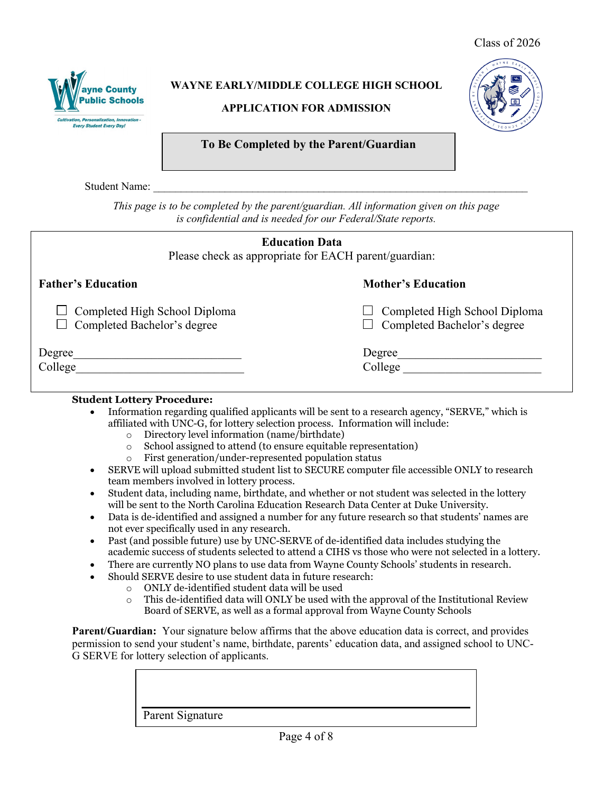

**APPLICATION FOR ADMISSION**



#### **To Be Completed by the Parent/Guardian**

Student Name:

*This page is to be completed by the parent/guardian. All information given on this page is confidential and is needed for our Federal/State reports.*

| <b>Education Data</b><br>Please check as appropriate for EACH parent/guardian: |                                      |  |  |
|--------------------------------------------------------------------------------|--------------------------------------|--|--|
| <b>Father's Education</b>                                                      | <b>Mother's Education</b>            |  |  |
| $\Box$ Completed High School Diploma                                           | $\Box$ Completed High School Diploma |  |  |
| $\Box$ Completed Bachelor's degree                                             | $\Box$ Completed Bachelor's degree   |  |  |
| Degree                                                                         | Degree                               |  |  |
| College                                                                        | College                              |  |  |

#### **Student Lottery Procedure:**

- Information regarding qualified applicants will be sent to a research agency, "SERVE," which is affiliated with UNC-G, for lottery selection process. Information will include:
	- $\circ$  Directory level information (name/birthdate)<br> $\circ$  School assigned to attend (to ensure equitable
	- $\circ$  School assigned to attend (to ensure equitable representation)<br> $\circ$  First generation/under-represented population status
	- First generation/under-represented population status
- SERVE will upload submitted student list to SECURE computer file accessible ONLY to research team members involved in lottery process.
- Student data, including name, birthdate, and whether or not student was selected in the lottery will be sent to the North Carolina Education Research Data Center at Duke University.
- Data is de-identified and assigned a number for any future research so that students' names are not ever specifically used in any research.
- Past (and possible future) use by UNC-SERVE of de-identified data includes studying the academic success of students selected to attend a CIHS vs those who were not selected in a lottery.
- There are currently NO plans to use data from Wayne County Schools' students in research.
- Should SERVE desire to use student data in future research:
	- o ONLY de-identified student data will be used
		- $\circ$  This de-identified data will ONLY be used with the approval of the Institutional Review Board of SERVE, as well as a formal approval from Wayne County Schools

**Parent/Guardian:** Your signature below affirms that the above education data is correct, and provides permission to send your student's name, birthdate, parents' education data, and assigned school to UNC-G SERVE for lottery selection of applicants.

Parent Signature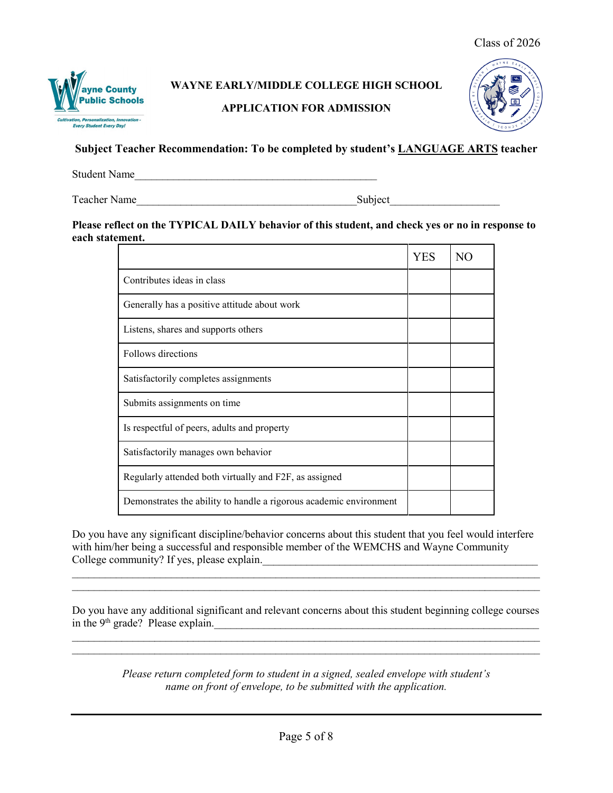

#### **APPLICATION FOR ADMISSION**



#### **Subject Teacher Recommendation: To be completed by student's LANGUAGE ARTS teacher**

Student Name

Teacher Name<br>
Subject

#### **Please reflect on the TYPICAL DAILY behavior of this student, and check yes or no in response to each statement.**

|                                                                    | YES |  |
|--------------------------------------------------------------------|-----|--|
| Contributes ideas in class                                         |     |  |
| Generally has a positive attitude about work                       |     |  |
| Listens, shares and supports others                                |     |  |
| Follows directions                                                 |     |  |
| Satisfactorily completes assignments                               |     |  |
| Submits assignments on time                                        |     |  |
| Is respectful of peers, adults and property                        |     |  |
| Satisfactorily manages own behavior                                |     |  |
| Regularly attended both virtually and F2F, as assigned             |     |  |
| Demonstrates the ability to handle a rigorous academic environment |     |  |

Do you have any significant discipline/behavior concerns about this student that you feel would interfere with him/her being a successful and responsible member of the WEMCHS and Wayne Community College community? If yes, please explain.

\_\_\_\_\_\_\_\_\_\_\_\_\_\_\_\_\_\_\_\_\_\_\_\_\_\_\_\_\_\_\_\_\_\_\_\_\_\_\_\_\_\_\_\_\_\_\_\_\_\_\_\_\_\_\_\_\_\_\_\_\_\_\_\_\_\_\_\_\_\_\_\_\_\_\_\_\_\_\_\_\_\_\_\_\_  $\_$  , and the set of the set of the set of the set of the set of the set of the set of the set of the set of the set of the set of the set of the set of the set of the set of the set of the set of the set of the set of th

Do you have any additional significant and relevant concerns about this student beginning college courses in the  $9<sup>th</sup>$  grade? Please explain.  $\mathcal{L}_\text{max}$  , and the contribution of the contribution of the contribution of the contribution of the contribution of the contribution of the contribution of the contribution of the contribution of the contribution of t

> *Please return completed form to student in a signed, sealed envelope with student's name on front of envelope, to be submitted with the application.*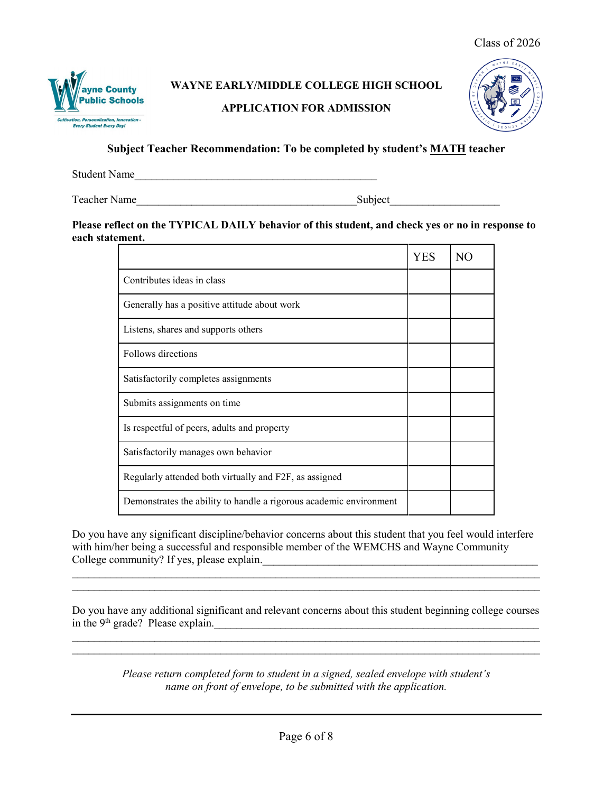

#### **APPLICATION FOR ADMISSION**



#### **Subject Teacher Recommendation: To be completed by student's MATH teacher**

Student Name

Teacher Name\_\_\_\_\_\_\_\_\_\_\_\_\_\_\_\_\_\_\_\_\_\_\_\_\_\_\_\_\_\_\_\_\_\_\_\_\_\_\_\_Subject\_\_\_\_\_\_\_\_\_\_\_\_\_\_\_\_\_\_\_\_

#### **Please reflect on the TYPICAL DAILY behavior of this student, and check yes or no in response to each statement.**

|                                                                    | YES |  |
|--------------------------------------------------------------------|-----|--|
| Contributes ideas in class                                         |     |  |
| Generally has a positive attitude about work                       |     |  |
| Listens, shares and supports others                                |     |  |
| Follows directions                                                 |     |  |
| Satisfactorily completes assignments                               |     |  |
| Submits assignments on time                                        |     |  |
| Is respectful of peers, adults and property                        |     |  |
| Satisfactorily manages own behavior                                |     |  |
| Regularly attended both virtually and F2F, as assigned             |     |  |
| Demonstrates the ability to handle a rigorous academic environment |     |  |

Do you have any significant discipline/behavior concerns about this student that you feel would interfere with him/her being a successful and responsible member of the WEMCHS and Wayne Community College community? If yes, please explain.

\_\_\_\_\_\_\_\_\_\_\_\_\_\_\_\_\_\_\_\_\_\_\_\_\_\_\_\_\_\_\_\_\_\_\_\_\_\_\_\_\_\_\_\_\_\_\_\_\_\_\_\_\_\_\_\_\_\_\_\_\_\_\_\_\_\_\_\_\_\_\_\_\_\_\_\_\_\_\_\_\_\_\_\_\_  $\_$  , and the set of the set of the set of the set of the set of the set of the set of the set of the set of the set of the set of the set of the set of the set of the set of the set of the set of the set of the set of th

Do you have any additional significant and relevant concerns about this student beginning college courses in the  $9<sup>th</sup>$  grade? Please explain.  $\mathcal{L}_\text{max}$  , and the contribution of the contribution of the contribution of the contribution of the contribution of the contribution of the contribution of the contribution of the contribution of the contribution of t

> *Please return completed form to student in a signed, sealed envelope with student's name on front of envelope, to be submitted with the application.*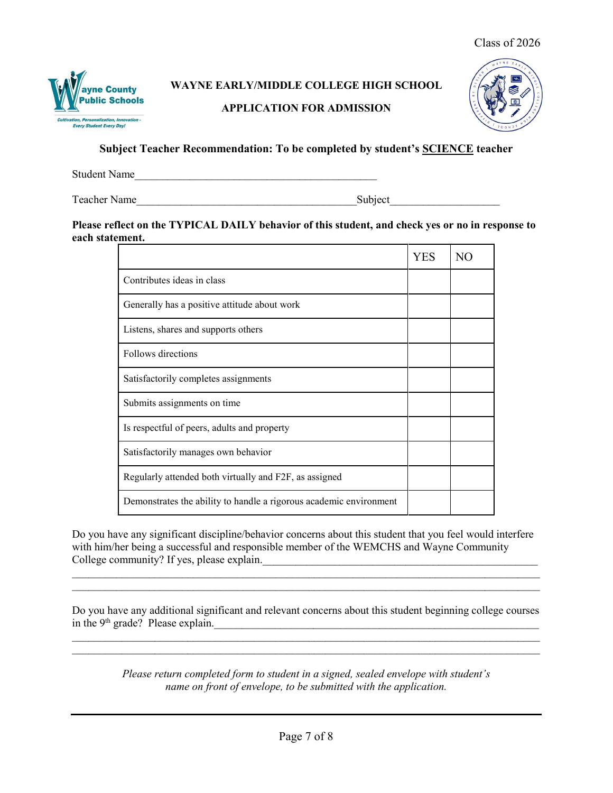

**APPLICATION FOR ADMISSION**



**Subject Teacher Recommendation: To be completed by student's SCIENCE teacher**

Student Name

Teacher Name<br>
Subject

#### **Please reflect on the TYPICAL DAILY behavior of this student, and check yes or no in response to each statement.**

|                                                                    | YES |  |
|--------------------------------------------------------------------|-----|--|
| Contributes ideas in class                                         |     |  |
| Generally has a positive attitude about work                       |     |  |
| Listens, shares and supports others                                |     |  |
| Follows directions                                                 |     |  |
| Satisfactorily completes assignments                               |     |  |
| Submits assignments on time                                        |     |  |
| Is respectful of peers, adults and property                        |     |  |
| Satisfactorily manages own behavior                                |     |  |
| Regularly attended both virtually and F2F, as assigned             |     |  |
| Demonstrates the ability to handle a rigorous academic environment |     |  |

Do you have any significant discipline/behavior concerns about this student that you feel would interfere with him/her being a successful and responsible member of the WEMCHS and Wayne Community College community? If yes, please explain.

\_\_\_\_\_\_\_\_\_\_\_\_\_\_\_\_\_\_\_\_\_\_\_\_\_\_\_\_\_\_\_\_\_\_\_\_\_\_\_\_\_\_\_\_\_\_\_\_\_\_\_\_\_\_\_\_\_\_\_\_\_\_\_\_\_\_\_\_\_\_\_\_\_\_\_\_\_\_\_\_\_\_\_\_\_  $\_$  , and the set of the set of the set of the set of the set of the set of the set of the set of the set of the set of the set of the set of the set of the set of the set of the set of the set of the set of the set of th

Do you have any additional significant and relevant concerns about this student beginning college courses in the  $9<sup>th</sup>$  grade? Please explain.  $\mathcal{L}_\text{max}$  , and the contribution of the contribution of the contribution of the contribution of the contribution of the contribution of the contribution of the contribution of the contribution of the contribution of t

> *Please return completed form to student in a signed, sealed envelope with student's name on front of envelope, to be submitted with the application.*